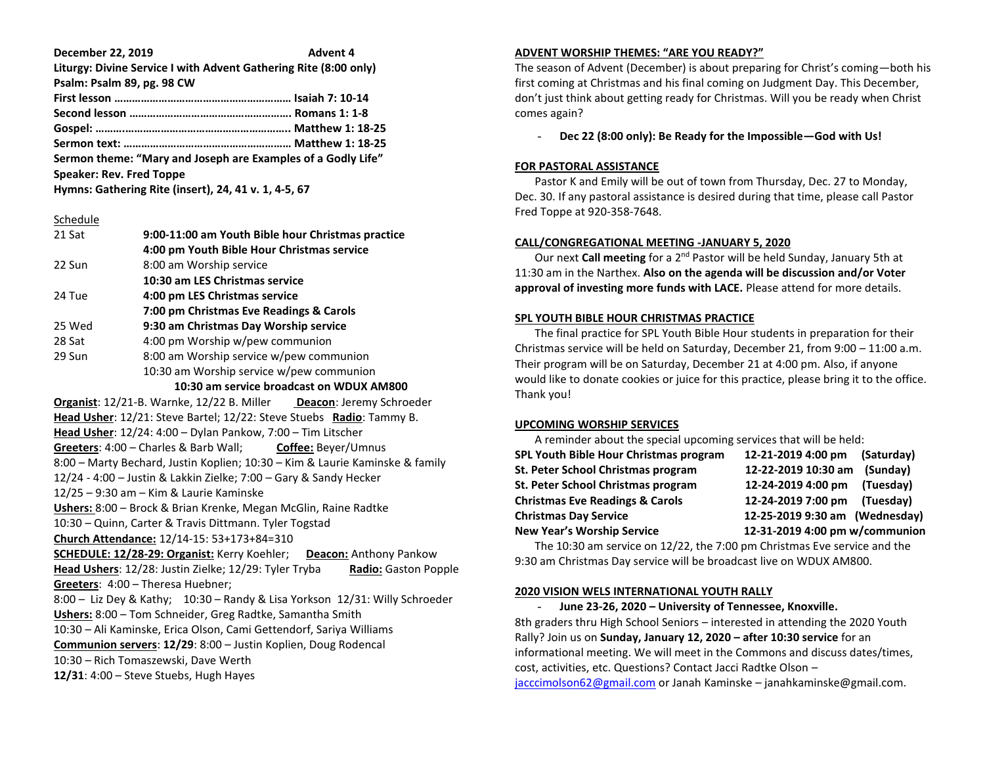**December 22, 2019 Advent 4 Liturgy: Divine Service I with Advent Gathering Rite (8:00 only) Psalm: Psalm 89, pg. 98 CW** 

| <b></b> |  |
|---------|--|
|         |  |
|         |  |
|         |  |
|         |  |

**Sermon theme: "Mary and Joseph are Examples of a Godly Life" Speaker: Rev. Fred Toppe** 

**Hymns: Gathering Rite (insert), 24, 41 v. 1, 4-5, 67**

#### Schedule

| 21 Sat | 9:00-11:00 am Youth Bible hour Christmas practice |
|--------|---------------------------------------------------|
|        | 4:00 pm Youth Bible Hour Christmas service        |
| 22 Sun | 8:00 am Worship service                           |
|        | 10:30 am LES Christmas service                    |
| 24 Tue | 4:00 pm LES Christmas service                     |
|        | 7:00 pm Christmas Eve Readings & Carols           |
| 25 Wed | 9:30 am Christmas Day Worship service             |
| 28 Sat | 4:00 pm Worship w/pew communion                   |
| 29 Sun | 8:00 am Worship service w/pew communion           |
|        | 10:30 am Worship service w/pew communion          |

 **10:30 am service broadcast on WDUX AM800**

**Organist**: 12/21-B. Warnke, 12/22 B. Miller **Deacon**: Jeremy Schroeder **Head Usher**: 12/21: Steve Bartel; 12/22: Steve Stuebs **Radio**: Tammy B. **Head Usher**: 12/24: 4:00 – Dylan Pankow, 7:00 – Tim Litscher **Greeters**: 4:00 – Charles & Barb Wall; **Coffee:** Beyer/Umnus 8:00 – Marty Bechard, Justin Koplien; 10:30 – Kim & Laurie Kaminske & family 12/24 - 4:00 – Justin & Lakkin Zielke; 7:00 – Gary & Sandy Hecker 12/25 – 9:30 am – Kim & Laurie Kaminske **Ushers:** 8:00 – Brock & Brian Krenke, Megan McGlin, Raine Radtke 10:30 – Quinn, Carter & Travis Dittmann. Tyler Togstad **Church Attendance:** 12/14-15: 53+173+84=310 **SCHEDULE: 12/28-29: Organist:** Kerry Koehler; **Deacon:** Anthony Pankow **Head Ushers**: 12/28: Justin Zielke; 12/29: Tyler Tryba **Radio:** Gaston Popple **Greeters**: 4:00 – Theresa Huebner; 8:00 – Liz Dey & Kathy; 10:30 – Randy & Lisa Yorkson 12/31: Willy Schroeder **Ushers:** 8:00 – Tom Schneider, Greg Radtke, Samantha Smith 10:30 – Ali Kaminske, Erica Olson, Cami Gettendorf, Sariya Williams **Communion servers**: **12/29**: 8:00 – Justin Koplien, Doug Rodencal

10:30 – Rich Tomaszewski, Dave Werth

**12/31**: 4:00 – Steve Stuebs, Hugh Hayes

#### **ADVENT WORSHIP THEMES: "ARE YOU READY?"**

The season of Advent (December) is about preparing for Christ's coming—both his first coming at Christmas and his final coming on Judgment Day. This December, don't just think about getting ready for Christmas. Will you be ready when Christ comes again?

- **Dec 22 (8:00 only): Be Ready for the Impossible—God with Us!**

# **FOR PASTORAL ASSISTANCE**

 Pastor K and Emily will be out of town from Thursday, Dec. 27 to Monday, Dec. 30. If any pastoral assistance is desired during that time, please call Pastor Fred Toppe at 920-358-7648.

## **CALL/CONGREGATIONAL MEETING -JANUARY 5, 2020**

 Our next **Call meeting** for a 2nd Pastor will be held Sunday, January 5th at 11:30 am in the Narthex. **Also on the agenda will be discussion and/or Voter approval of investing more funds with LACE.** Please attend for more details.

## **SPL YOUTH BIBLE HOUR CHRISTMAS PRACTICE**

 The final practice for SPL Youth Bible Hour students in preparation for their Christmas service will be held on Saturday, December 21, from 9:00 – 11:00 a.m. Their program will be on Saturday, December 21 at 4:00 pm. Also, if anyone would like to donate cookies or juice for this practice, please bring it to the office. Thank you!

# **UPCOMING WORSHIP SERVICES**

| A reminder about the special upcoming services that will be held: |                                |            |  |
|-------------------------------------------------------------------|--------------------------------|------------|--|
| SPL Youth Bible Hour Christmas program                            | 12-21-2019 4:00 pm             | (Saturday) |  |
| St. Peter School Christmas program                                | 12-22-2019 10:30 am            | (Sunday)   |  |
| St. Peter School Christmas program                                | 12-24-2019 4:00 pm             | (Tuesday)  |  |
| <b>Christmas Eve Readings &amp; Carols</b>                        | 12-24-2019 7:00 pm             | (Tuesday)  |  |
| <b>Christmas Day Service</b>                                      | 12-25-2019 9:30 am (Wednesday) |            |  |
| <b>New Year's Worship Service</b>                                 | 12-31-2019 4:00 pm w/communion |            |  |

 The 10:30 am service on 12/22, the 7:00 pm Christmas Eve service and the 9:30 am Christmas Day service will be broadcast live on WDUX AM800.

# **2020 VISION WELS INTERNATIONAL YOUTH RALLY**

- **June 23-26, 2020 – University of Tennessee, Knoxville.** 8th graders thru High School Seniors – interested in attending the 2020 Youth Rally? Join us on **Sunday, January 12, 2020 – after 10:30 service** for an informational meeting. We will meet in the Commons and discuss dates/times, cost, activities, etc. Questions? Contact Jacci Radtke Olson – [jacccimolson62@gmail.com](mailto:jacccimolson62@gmail.com) or Janah Kaminske – janahkaminske@gmail.com.